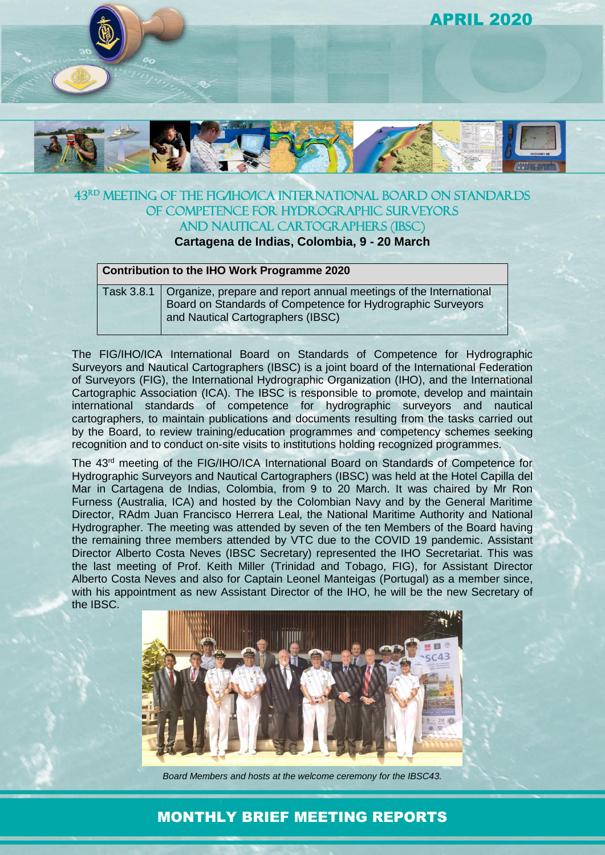

### 43rd Meeting of the FIG/IHO/ICA International Board on Standards of Competence for Hydrographic Surveyors and Nautical Cartographers (IBSC)

**Cartagena de Indias, Colombia, 9 - 20 March**

#### **Contribution to the IHO Work Programme 2020**

Task 3.8.1 Organize, prepare and report annual meetings of the International Board on Standards of Competence for Hydrographic Surveyors and Nautical Cartographers (IBSC)

The FIG/IHO/ICA International Board on Standards of Competence for Hydrographic Surveyors and Nautical Cartographers (IBSC) is a joint board of the International Federation of Surveyors (FIG), the International Hydrographic Organization (IHO), and the International Cartographic Association (ICA). The IBSC is responsible to promote, develop and maintain international standards of competence for hydrographic surveyors and nautical cartographers, to maintain publications and documents resulting from the tasks carried out by the Board, to review training/education programmes and competency schemes seeking recognition and to conduct on-site visits to institutions holding recognized programmes.

The 43<sup>rd</sup> meeting of the FIG/IHO/ICA International Board on Standards of Competence for Hydrographic Surveyors and Nautical Cartographers (IBSC) was held at the Hotel Capilla del Mar in Cartagena de Indias, Colombia, from 9 to 20 March. It was chaired by Mr Ron Furness (Australia, ICA) and hosted by the Colombian Navy and by the General Maritime Director, RAdm Juan Francisco Herrera Leal, the National Maritime Authority and National Hydrographer. The meeting was attended by seven of the ten Members of the Board having the remaining three members attended by VTC due to the COVID 19 pandemic. Assistant Director Alberto Costa Neves (IBSC Secretary) represented the IHO Secretariat. This was the last meeting of Prof. Keith Miller (Trinidad and Tobago, FIG), for Assistant Director Alberto Costa Neves and also for Captain Leonel Manteigas (Portugal) as a member since, with his appointment as new Assistant Director of the IHO, he will be the new Secretary of the IBSC.



*Board Members and hosts at the welcome ceremony for the IBSC43.*

# MONTHLY BRIEF MEETING REPORTS